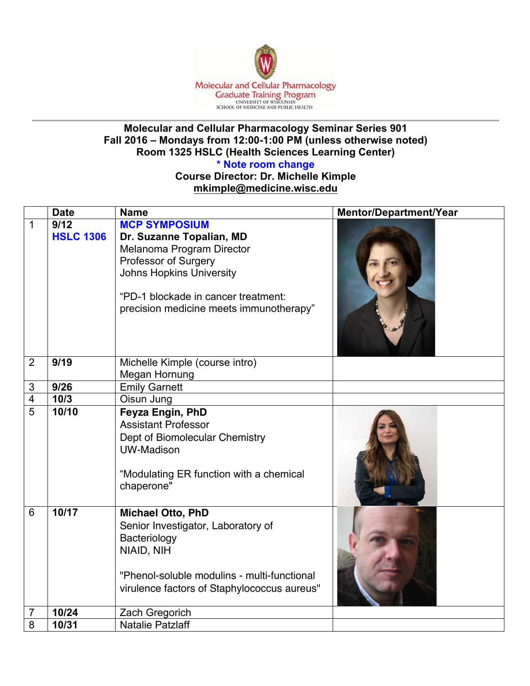

## **Molecular and Cellular Pharmacology Seminar Series 901 Fall 2016 – Mondays from 12:00-1:00 PM (unless otherwise noted) Room 1325 HSLC (Health Sciences Learning Center)**

**\* Note room change**

**Course Director: Dr. Michelle Kimple mkimple@medicine.wisc.edu**

|                | <b>Date</b>              | <b>Name</b>                                                                                                                                                                                                                | Mentor/Department/Year |
|----------------|--------------------------|----------------------------------------------------------------------------------------------------------------------------------------------------------------------------------------------------------------------------|------------------------|
| $\mathbf{1}$   | 9/12<br><b>HSLC 1306</b> | <b>MCP SYMPOSIUM</b><br>Dr. Suzanne Topalian, MD<br>Melanoma Program Director<br>Professor of Surgery<br><b>Johns Hopkins University</b><br>"PD-1 blockade in cancer treatment:<br>precision medicine meets immunotherapy" |                        |
| $\overline{2}$ | 9/19                     | Michelle Kimple (course intro)<br>Megan Hornung                                                                                                                                                                            |                        |
| $\sqrt{3}$     | 9/26                     | <b>Emily Garnett</b>                                                                                                                                                                                                       |                        |
| 4              | 10/3                     | Oisun Jung                                                                                                                                                                                                                 |                        |
| 5              | 10/10                    | Feyza Engin, PhD<br><b>Assistant Professor</b><br>Dept of Biomolecular Chemistry<br><b>UW-Madison</b><br>"Modulating ER function with a chemical<br>chaperone"                                                             |                        |
| 6              | 10/17                    | <b>Michael Otto, PhD</b><br>Senior Investigator, Laboratory of<br>Bacteriology<br>NIAID, NIH<br>"Phenol-soluble modulins - multi-functional<br>virulence factors of Staphylococcus aureus"                                 |                        |
| 7              | 10/24                    | Zach Gregorich                                                                                                                                                                                                             |                        |
| 8              | 10/31                    | <b>Natalie Patzlaff</b>                                                                                                                                                                                                    |                        |